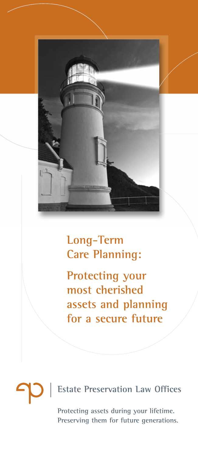

### **Long-Term Care Planning:**

**Protecting your most cherished assets and planning for a secure future**

## **Estate Preservation Law Offices Protecting assets during your lifetime.**

**Preserving them for future generations.**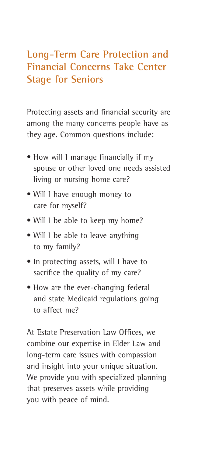#### **Long-Term Care Protection and Financial Concerns Take Center Stage for Seniors**

Protecting assets and financial security are among the many concerns people have as they age. Common questions include:

- How will I manage financially if my spouse or other loved one needs assisted living or nursing home care?
- Will I have enough money to care for myself?
- Will 1 be able to keep my home?
- Will I be able to leave anything to my family?
- In protecting assets, will I have to sacrifice the quality of my care?
- How are the ever-changing federal and state Medicaid regulations going to affect me?

At Estate Preservation Law Offices, we combine our expertise in Elder Law and long-term care issues with compassion and insight into your unique situation. We provide you with specialized planning that preserves assets while providing you with peace of mind.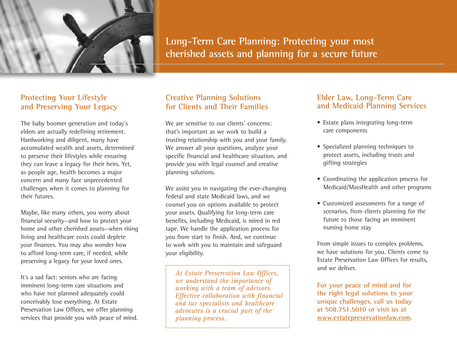

**Long-Term Care Planning: Protecting your most cherished assets and planning for a secure future**

#### **Protecting Your Lifestyle and Preserving Your Legacy**

The baby boomer generation and today's elders are actually redefining retirement. Hardworking and diligent, many have accumulated wealth and assets, determined to preserve their lifestyles while ensuring they can leave a legacy for their heirs. Yet, as people age, health becomes a major concern and many face unprecedented challenges when it comes to planning for their futures.

Maybe, like many others, you worry about financial security—and how to protect your home and other cherished assets—when rising living and healthcare costs could deplete your finances. You may also wonder how to afford long-term care, if needed, while preserving a legacy for your loved ones.

It's a sad fact: seniors who are facing imminent long-term care situations and who have not planned adequately could conceivably lose everything. At Estate Preservation Law Offices, we offer planning services that provide you with peace of mind.

### **Creative Planning Solutions for Clients and Their Families**

We are sensitive to our clients' concerns: that's important as we work to build a trusting relationship with you and your family. We answer all your questions, analyze your specific financial and healthcare situation, and provide you with legal counsel and creative planning solutions.

We assist you in navigating the ever-changing federal and state Medicaid laws, and we counsel you on options available to protect your assets. Qualifying for long-term care benefits, including Medicaid, is mired in red tape. We handle the application process for you from start to finish. And, we continue to work with you to maintain and safeguard your eligibility.

*At Estate Preservation Law Offices, we understand the importance of working with a team of advisors. Effective collaboration with financial and tax specialists and healthcare advocates is a crucial part of the planning process.*

#### **Elder Law, Long-Term Care and Medicaid Planning Services**

- Estate plans integrating long-term care components
- Specialized planning techniques to protect assets, including trusts and gifting strategies
- Coordinating the application process for Medicaid/MassHealth and other programs
- Customized assessments for a range of scenarios, from clients planning for the future to those facing an imminent nursing home stay

From simple issues to complex problems, we have solutions for you. Clients come to Estate Preservation Law Offices for results, and we deliver.

**For your peace of mind and for the right legal solutions to your unique challenges, call us today at 508.751.5010 or visit us at www.estatepreservationlaw.com.**